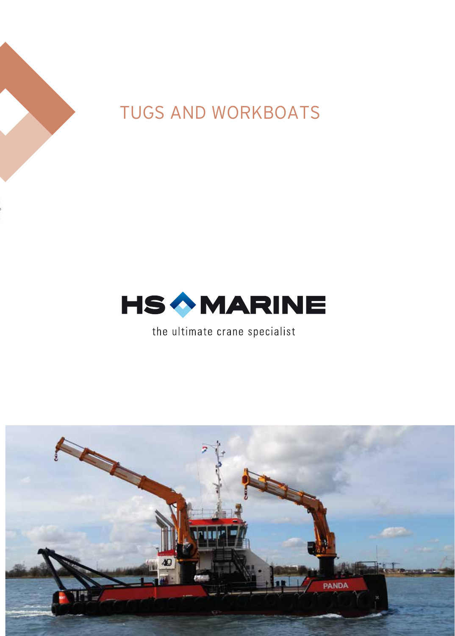

# TUGS AND WORKBOATS



the ultimate crane specialist

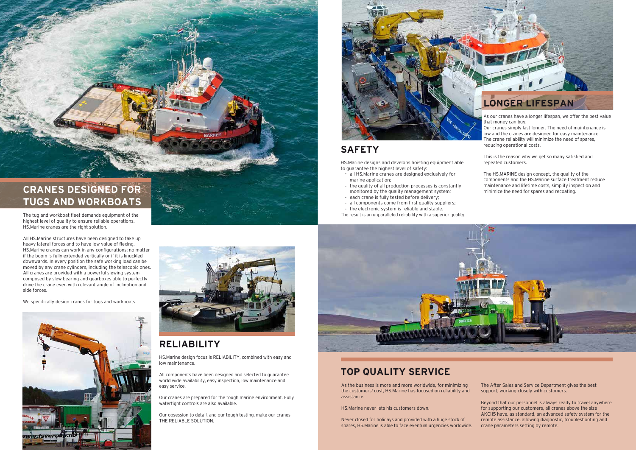#### **SAFETY**

HS.Marine designs and develops hoisting equipment able to guarantee the highest level of safety:

- all HS.Marine cranes are designed exclusively for marine application;
- the quality of all production processes is constantly monitored by the quality management system;
- each crane is fully tested before delivery;
- all components come from first quality suppliers; - the electronic system is reliable and stable.
- 





### **TOP QUALITY SERVICE**

As the business is more and more worldwide, for minimizing the customers' cost, HS.Marine has focused on reliability and assistance.

HS.Marine never lets his customers down.

Never closed for holidays and provided with a huge stock of spares, HS.Marine is able to face eventual urgencies worldwide.

The After Sales and Service Department gives the best support, working closely with customers.

Beyond that our personnel is always ready to travel anywhere for supporting our customers, all cranes above the size AKC115 have, as standard, an advanced safety system for the remote assistance, allowing diagnostic, troubleshooting and crane parameters setting by remote.



## **CRANES DESIGNED FOR TUGS AND WORKBOATS**

The tug and workboat fleet demands equipment of the highest level of quality to ensure reliable operations. HS.Marine cranes are the right solution.

All HS.Marine structures have been designed to take up heavy lateral forces and to have low value of flexing. HS.Marine cranes can work in any configurations: no matter if the boom is fully extended vertically or if it is knuckled downwards. In every position the safe working load can be moved by any crane cylinders, including the telescopic ones. All cranes are provided with a powerful slewing system composed by slew bearing and gearboxes able to perfectly drive the crane even with relevant angle of inclination and side forces.

We specifically design cranes for tugs and workboats.





### **RELIABILITY**

HS.Marine design focus is RELIABILITY, combined with easy and low maintenance.

All components have been designed and selected to guarantee world wide availability, easy inspection, low maintenance and easy service.

Our cranes are prepared for the tough marine environment. Fully watertight controls are also available.

Our obsession to detail, and our tough testing, make our cranes THE RELIABLE SOLUTION.



reducing operational costs.

This is the reason why we get so many satisfied and repeated customers.

The HS.MARINE design concept, the quality of the components and the HS.Marine surface treatment reduce maintenance and lifetime costs, simplify inspection and minimize the need for spares and recoating.